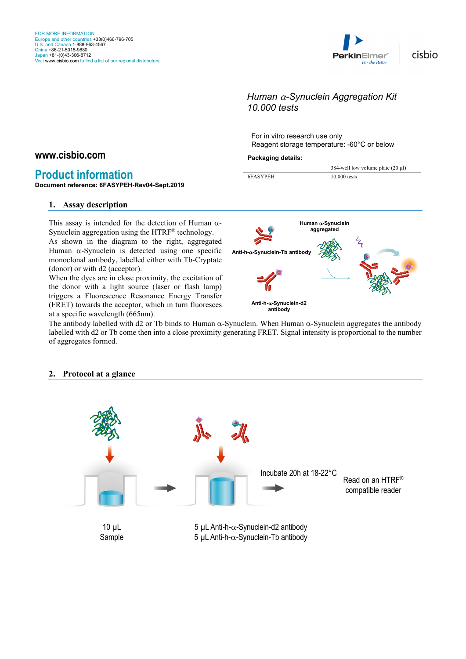

cisbio

# *Human* α*-Synuclein Aggregation Kit 10.000 tests*

For in vitro research use only Reagent storage temperature: -60°C or below

#### **Packaging details:**

#### 384-well low volume plate (20 µl) 6FASYPEH 10.000 tests

# **Document reference: 6FASYPEH-Rev04-Sept.2019**

**Product information**

**www.cisbio.com**

#### **1. Assay description**

This assay is intended for the detection of Human  $\alpha$ -Synuclein aggregation using the HTRF® technology.

As shown in the diagram to the right, aggregated Human  $\alpha$ -Synuclein is detected using one specific monoclonal antibody, labelled either with Tb-Cryptate (donor) or with d2 (acceptor).

When the dyes are in close proximity, the excitation of the donor with a light source (laser or flash lamp) triggers a Fluorescence Resonance Energy Transfer (FRET) towards the acceptor, which in turn fluoresces at a specific wavelength (665nm).

The antibody labelled with d2 or Tb binds to Human α-Synuclein. When Human α-Synuclein aggregates the antibody labelled with d2 or Tb come then into a close proximity generating FRET. Signal intensity is proportional to the number of aggregates formed.



## **2. Protocol at a glance**

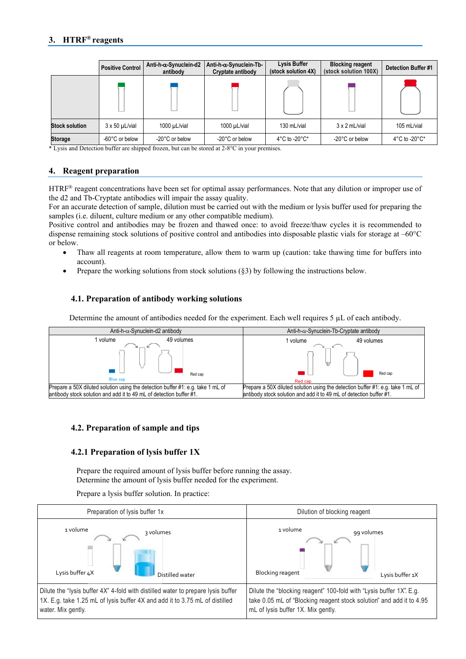# **3. HTRF® reagents**

|                       | Anti-h-α-Synuclein-d2<br><b>Positive Control</b><br>antibody |                | Anti-h-α-Synuclein-Tb-<br>Cryptate antibody | Lysis Buffer<br>(stock solution 4X) | <b>Blocking reagent</b><br>(stock solution 100X) | <b>Detection Buffer #1</b>         |
|-----------------------|--------------------------------------------------------------|----------------|---------------------------------------------|-------------------------------------|--------------------------------------------------|------------------------------------|
|                       |                                                              |                |                                             |                                     |                                                  |                                    |
| <b>Stock solution</b> | $3 \times 50$ µL/vial                                        | 1000 µL/vial   | $1000 \mu L/\text{vial}$                    | 130 mL/vial                         | $3 \times 2$ mL/vial                             | 105 mL/vial                        |
| <b>Storage</b>        | -60°C or below                                               | -20°C or below | -20°C or below                              | $4^{\circ}$ C to -20 $^{\circ}$ C*  | -20°C or below                                   | $4^{\circ}$ C to -20 $^{\circ}$ C* |

\* Lysis and Detection buffer are shipped frozen, but can be stored at 2-8°C in your premises.

## **4. Reagent preparation**

HTRF® reagent concentrations have been set for optimal assay performances. Note that any dilution or improper use of the d2 and Tb-Cryptate antibodies will impair the assay quality.

For an accurate detection of sample, dilution must be carried out with the medium or lysis buffer used for preparing the samples (i.e. diluent, culture medium or any other compatible medium).

Positive control and antibodies may be frozen and thawed once: to avoid freeze/thaw cycles it is recommended to dispense remaining stock solutions of positive control and antibodies into disposable plastic vials for storage at –60°C or below.

- Thaw all reagents at room temperature, allow them to warm up (caution: take thawing time for buffers into account).
- Prepare the working solutions from stock solutions  $(\S$ 3) by following the instructions below.

## **4.1. Preparation of antibody working solutions**

Determine the amount of antibodies needed for the experiment. Each well requires 5 µL of each antibody.



## **4.2. Preparation of sample and tips**

## **4.2.1 Preparation of lysis buffer 1X**

Prepare the required amount of lysis buffer before running the assay. Determine the amount of lysis buffer needed for the experiment.

Prepare a lysis buffer solution. In practice:

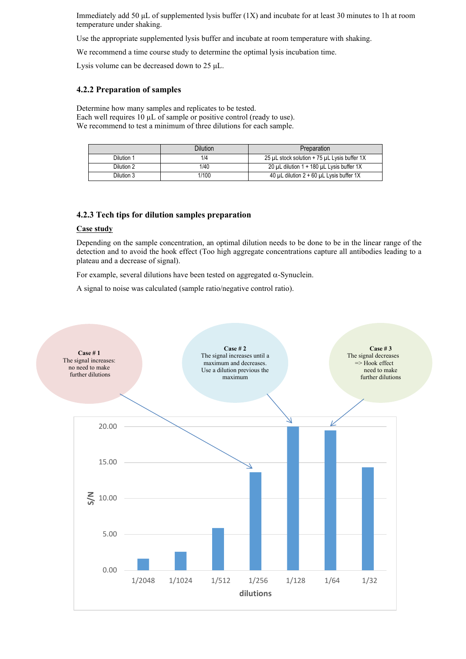Immediately add 50 μL of supplemented lysis buffer (1X) and incubate for at least 30 minutes to 1h at room temperature under shaking.

Use the appropriate supplemented lysis buffer and incubate at room temperature with shaking.

We recommend a time course study to determine the optimal lysis incubation time.

Lysis volume can be decreased down to 25 μL.

#### **4.2.2 Preparation of samples**

Determine how many samples and replicates to be tested. Each well requires 10  $\mu$ L of sample or positive control (ready to use). We recommend to test a minimum of three dilutions for each sample.

|            | Dilution | Preparation                                        |
|------------|----------|----------------------------------------------------|
| Dilution 1 | 1/4      | 25 µL stock solution + 75 µL Lysis buffer 1X       |
| Dilution 2 | 1/40     | 20 µL dilution 1 + 180 µL Lysis buffer 1X          |
| Dilution 3 | 1/100    | 40 $\mu$ L dilution 2 + 60 $\mu$ L Lysis buffer 1X |

#### **4.2.3 Tech tips for dilution samples preparation**

#### **Case study**

Depending on the sample concentration, an optimal dilution needs to be done to be in the linear range of the detection and to avoid the hook effect (Too high aggregate concentrations capture all antibodies leading to a plateau and a decrease of signal).

For example, several dilutions have been tested on aggregated  $\alpha$ -Synuclein.

A signal to noise was calculated (sample ratio/negative control ratio).

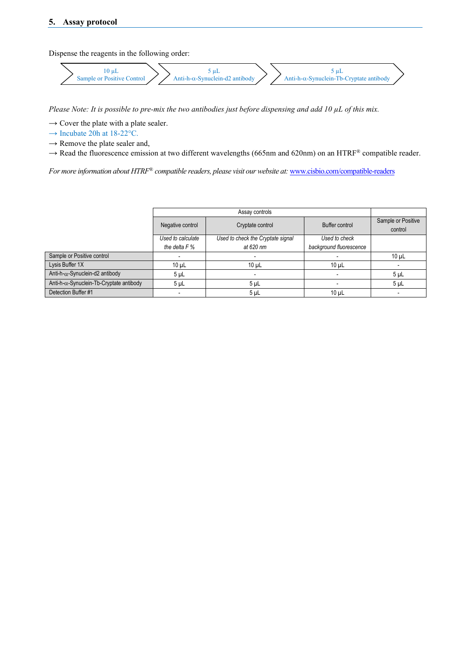Dispense the reagents in the following order:

$$
\left.\begin{array}{c}\n10 \, \mu L \\
\hline\n\end{array}\right\} \sum_{\text{Anti-h-}\alpha\text{-Symuclein-d2 antibody}} \left.\begin{array}{c}\n5 \, \mu L \\
\hline\n\end{array}\right\} \sum_{\text{Anti-h-}\alpha\text{-Symuclein-Tb-Cryptate antibody}\n\end{array}
$$

*Please Note: It is possible to pre-mix the two antibodies just before dispensing and add 10 µL of this mix.*

*→* Cover the plate with a plate sealer.

*→* Incubate 20h at 18-22°C.

*→* Remove the plate sealer and,

→ Read the fluorescence emission at two different wavelengths (665nm and 620nm) on an HTRF<sup>®</sup> compatible reader.

*For more information about HTRF® compatible readers, please visit our website at:* [www.cisbio.com/compatible-readers](http://www.cisbio.com/compatible-readers)

|                                                  | Negative control         | Cryptate control                  | Buffer control          | Sample or Positive<br>control |
|--------------------------------------------------|--------------------------|-----------------------------------|-------------------------|-------------------------------|
|                                                  | Used to calculate        | Used to check the Cryptate signal | Used to check           |                               |
|                                                  | the delta $F%$           | at 620 nm                         | background fluorescence |                               |
| Sample or Positive control                       | $\overline{\phantom{a}}$ |                                   |                         | $10 \mu L$                    |
| Lysis Buffer 1X                                  | $10 \mu L$               | 10 <sub>µ</sub>                   | 10 <sub>µ</sub>         |                               |
| Anti-h- $\alpha$ -Synuclein-d2 antibody          | 5 <sub>µL</sub>          | -                                 | ۰                       | 5 <sub>µ</sub>                |
| Anti-h- $\alpha$ -Synuclein-Tb-Cryptate antibody | 5 <sub>µ</sub>           | 5 <sub>µ</sub>                    |                         | 5 <sub>µ</sub>                |
| Detection Buffer #1                              | $\overline{\phantom{a}}$ | 5 <sub>µ</sub>                    | 10 <sub>µ</sub>         | $\overline{\phantom{0}}$      |